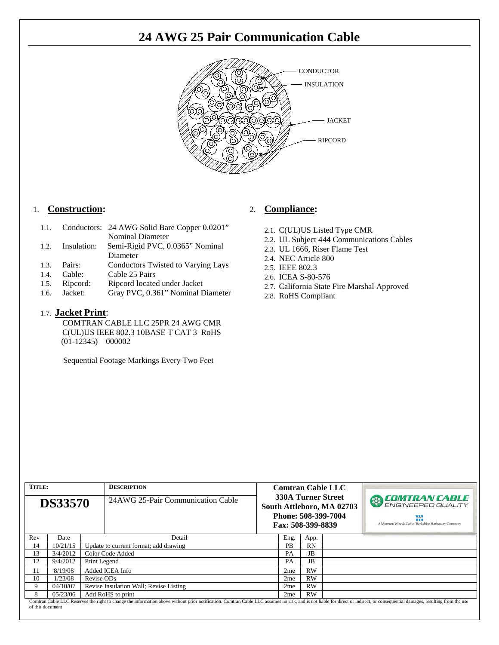## **24 AWG 25 Pair Communication Cable**



#### 1. **Construction:**

| 1.1. | Conductors: 24 AWG Solid Bare Copper 0.0201" |
|------|----------------------------------------------|
|      | Nominal Diameter                             |

- 1.2. Insulation: Semi-Rigid PVC, 0.0365" Nominal Diameter
- 1.3. Pairs: Conductors Twisted to Varying Lays<br>1.4. Cable: Cable 25 Pairs
- 1.4. Cable: Cable 25 Pairs
- 1.5. Ripcord: Ripcord located under Jacket
- 1.6. Jacket: Gray PVC, 0.361" Nominal Diameter

#### 1.7. **Jacket Print**:

COMTRAN CABLE LLC 25PR 24 AWG CMR C(UL)US IEEE 802.3 10BASE T CAT 3 RoHS (01-12345) 000002

Sequential Footage Markings Every Two Feet

#### 2. **Compliance:**

- 2.1. C(UL)US Listed Type CMR
- 2.2. UL Subject 444 Communications Cables
- 2.3. UL 1666, Riser Flame Test
- 2.4. NEC Article 800
- 2.5. IEEE 802.3
- 2.6. ICEA S-80-576
- 2.7. California State Fire Marshal Approved
- 2.8. RoHS Compliant

| <b>TITLE:</b><br><b>DS33570</b> |          |                                        | <b>DESCRIPTION</b><br>24 AWG 25-Pair Communication Cable                                                                                                                                                                       |                 | <b>Comtran Cable LLC</b><br>330A Turner Street<br>South Attleboro, MA 02703<br>Phone: 508-399-7004<br>Fax: 508-399-8839 |      |  | <b>EDMITRAN CABLE</b><br>ENGINEERED QUALITY<br>₩<br>A Marmon Wire & Cable/Berkshire Hathaway Company |
|---------------------------------|----------|----------------------------------------|--------------------------------------------------------------------------------------------------------------------------------------------------------------------------------------------------------------------------------|-----------------|-------------------------------------------------------------------------------------------------------------------------|------|--|------------------------------------------------------------------------------------------------------|
| Rev                             | Date     |                                        | Detail                                                                                                                                                                                                                         |                 | Eng.                                                                                                                    | App. |  |                                                                                                      |
| 14                              | 10/21/15 | Update to current format; add drawing  |                                                                                                                                                                                                                                | <b>PB</b>       | RN                                                                                                                      |      |  |                                                                                                      |
| 13                              | 3/4/2012 | Color Code Added                       |                                                                                                                                                                                                                                | <b>PA</b>       | JB                                                                                                                      |      |  |                                                                                                      |
| 12                              | 9/4/2012 | Print Legend                           |                                                                                                                                                                                                                                |                 | PA                                                                                                                      | JB   |  |                                                                                                      |
| 11                              | 8/19/08  | Added ICEA Info                        |                                                                                                                                                                                                                                | 2me             | RW                                                                                                                      |      |  |                                                                                                      |
| 10                              | 1/23/08  | Revise ODs                             |                                                                                                                                                                                                                                | 2 <sub>me</sub> | <b>RW</b>                                                                                                               |      |  |                                                                                                      |
| 9                               | 04/10/07 | Revise Insulation Wall; Revise Listing |                                                                                                                                                                                                                                |                 | 2 <sub>me</sub>                                                                                                         | RW   |  |                                                                                                      |
| 8                               | 05/23/06 | Add RoHS to print                      |                                                                                                                                                                                                                                | 2 <sub>me</sub> | <b>RW</b>                                                                                                               |      |  |                                                                                                      |
| of this document                |          |                                        | Comtran Cable LLC Reserves the right to change the information above without prior notification. Comtran Cable LLC assumes no risk, and is not liable for direct or indirect, or consequential damages, resulting from the use |                 |                                                                                                                         |      |  |                                                                                                      |